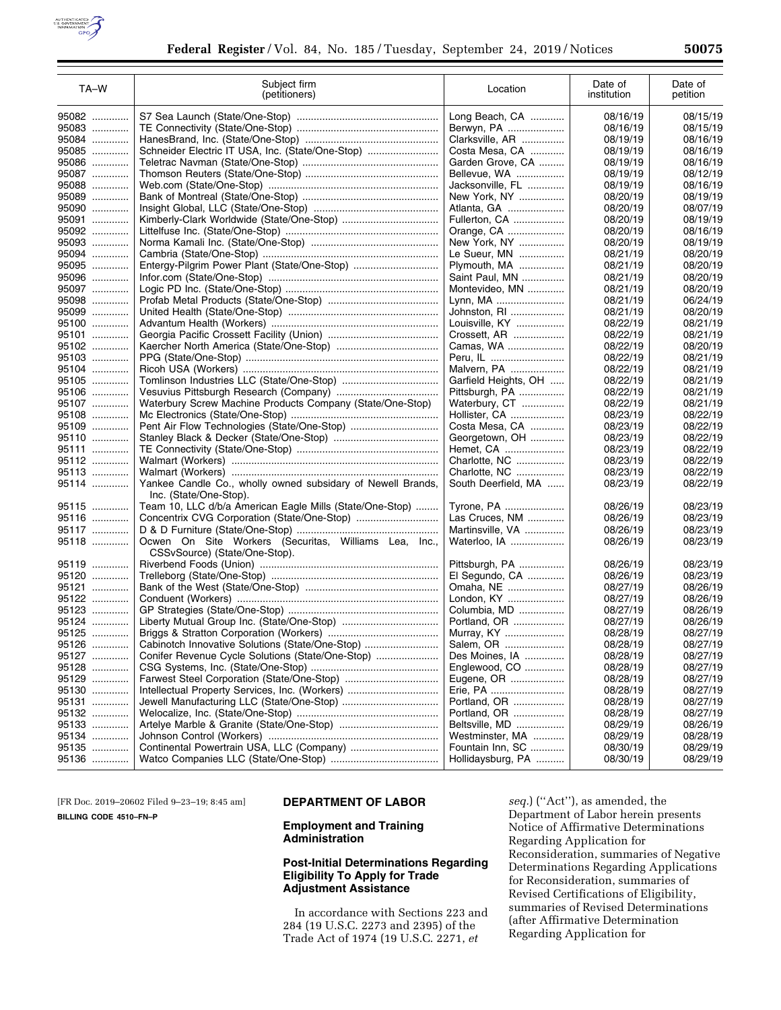

| TA-W           | Subject firm<br>(petitioners)                               | Location                            | Date of<br>institution | Date of<br>petition  |
|----------------|-------------------------------------------------------------|-------------------------------------|------------------------|----------------------|
| 95082          |                                                             | Long Beach, CA                      | 08/16/19               | 08/15/19             |
| 95083          |                                                             | Berwyn, PA                          | 08/16/19               | 08/15/19             |
| 95084          |                                                             | Clarksville, AR                     | 08/19/19               | 08/16/19             |
| 95085          | Schneider Electric IT USA, Inc. (State/One-Stop)            | Costa Mesa, CA                      | 08/19/19               | 08/16/19             |
| 95086          |                                                             | Garden Grove, CA                    | 08/19/19               | 08/16/19             |
| 95087          |                                                             | Bellevue, WA                        | 08/19/19               | 08/12/19             |
| 95088          |                                                             | Jacksonville, FL                    | 08/19/19               | 08/16/19             |
| 95089          |                                                             | New York, NY                        | 08/20/19               | 08/19/19             |
| 95090          |                                                             | Atlanta, GA                         | 08/20/19               | 08/07/19             |
| 95091          |                                                             | Fullerton, CA                       | 08/20/19               | 08/19/19             |
| 95092          |                                                             | Orange, CA                          | 08/20/19               | 08/16/19             |
| 95093          |                                                             | New York, NY                        | 08/20/19               | 08/19/19             |
| 95094          |                                                             | Le Sueur, MN                        | 08/21/19               | 08/20/19             |
| 95095          |                                                             | Plymouth, MA                        | 08/21/19               | 08/20/19             |
| 95096          |                                                             | Saint Paul, MN                      | 08/21/19               | 08/20/19             |
| 95097          |                                                             | Montevideo, MN                      | 08/21/19               | 08/20/19             |
| 95098          |                                                             | Lynn, MA                            | 08/21/19               | 06/24/19             |
| 95099          |                                                             | Johnston, RI                        | 08/21/19               | 08/20/19             |
| 95100          |                                                             | Louisville, KY                      | 08/22/19               | 08/21/19             |
| 95101          |                                                             | Crossett, AR                        | 08/22/19               | 08/21/19             |
| 95102          |                                                             | Camas, WA                           | 08/22/19               | 08/20/19             |
| 95103          |                                                             | Peru, IL                            | 08/22/19               | 08/21/19             |
| 95104          |                                                             | Malvern, PA                         | 08/22/19               | 08/21/19             |
| 95105          |                                                             | Garfield Heights, OH                | 08/22/19               | 08/21/19             |
| 95106          |                                                             | Pittsburgh, PA                      | 08/22/19               | 08/21/19             |
| 95107          | Waterbury Screw Machine Products Company (State/One-Stop)   | Waterbury, CT                       | 08/22/19               | 08/21/19             |
| 95108          |                                                             | Hollister, CA                       | 08/23/19               | 08/22/19             |
| 95109          |                                                             | Costa Mesa, CA                      | 08/23/19               | 08/22/19             |
| 95110          |                                                             | Georgetown, OH                      | 08/23/19               | 08/22/19             |
| 95111          |                                                             | Hemet, CA                           | 08/23/19               | 08/22/19             |
| 95112          |                                                             | Charlotte, NC                       | 08/23/19               | 08/22/19             |
| 95113          |                                                             | Charlotte, NC                       | 08/23/19               | 08/22/19             |
| 95114          | Yankee Candle Co., wholly owned subsidary of Newell Brands, | South Deerfield, MA                 | 08/23/19               | 08/22/19             |
|                | Inc. (State/One-Stop).                                      |                                     |                        |                      |
| 95115          | Team 10, LLC d/b/a American Eagle Mills (State/One-Stop)    | Tyrone, PA                          | 08/26/19               | 08/23/19             |
| 95116          |                                                             | Las Cruces, NM                      | 08/26/19               | 08/23/19             |
| 95117          |                                                             | Martinsville, VA                    | 08/26/19               | 08/23/19             |
| 95118          | Ocwen On Site Workers (Securitas, Williams Lea, Inc.,       | Waterloo, IA                        | 08/26/19               | 08/23/19             |
|                | CSSvSource) (State/One-Stop).                               |                                     |                        |                      |
| 95119          |                                                             | Pittsburgh, PA                      | 08/26/19               | 08/23/19             |
| 95120          |                                                             | El Segundo, CA                      | 08/26/19               | 08/23/19             |
| 95121          |                                                             | Omaha, NE                           | 08/27/19               | 08/26/19             |
| 95122<br>95123 |                                                             | London, KY<br>Columbia, MD          | 08/27/19               | 08/26/19<br>08/26/19 |
|                |                                                             |                                     | 08/27/19               |                      |
| 95124          |                                                             | Portland, OR                        | 08/27/19               | 08/26/19             |
| 95125<br>95126 | Cabinotch Innovative Solutions (State/One-Stop)             | Murray, KY                          | 08/28/19               | 08/27/19             |
|                |                                                             | Salem, OR                           | 08/28/19               | 08/27/19             |
| 95127          | Conifer Revenue Cycle Solutions (State/One-Stop)            | Des Moines, IA                      | 08/28/19               | 08/27/19             |
| 95128          |                                                             | Englewood, CO                       | 08/28/19               | 08/27/19             |
| 95129          | Intellectual Property Services, Inc. (Workers)              | Eugene, OR<br>Erie, PA              | 08/28/19<br>08/28/19   | 08/27/19             |
| 95130          |                                                             |                                     | 08/28/19               | 08/27/19             |
| 95131          |                                                             | Portland, OR                        |                        | 08/27/19             |
| 95132          |                                                             | Portland, OR                        | 08/28/19               | 08/27/19             |
| 95133          |                                                             | Beltsville, MD                      | 08/29/19               | 08/26/19             |
| 95134          |                                                             | Westminster, MA<br>Fountain Inn, SC | 08/29/19               | 08/28/19             |
| 95135          |                                                             |                                     | 08/30/19               | 08/29/19<br>08/29/19 |
| 95136          |                                                             | Hollidaysburg, PA                   | 08/30/19               |                      |

[FR Doc. 2019–20602 Filed 9–23–19; 8:45 am] **BILLING CODE 4510–FN–P** 

## **DEPARTMENT OF LABOR**

#### **Employment and Training Administration**

## **Post-Initial Determinations Regarding Eligibility To Apply for Trade Adjustment Assistance**

In accordance with Sections 223 and 284 (19 U.S.C. 2273 and 2395) of the Trade Act of 1974 (19 U.S.C. 2271, *et* 

*seq.*) (''Act''), as amended, the Department of Labor herein presents Notice of Affirmative Determinations Regarding Application for Reconsideration, summaries of Negative Determinations Regarding Applications for Reconsideration, summaries of Revised Certifications of Eligibility, summaries of Revised Determinations (after Affirmative Determination Regarding Application for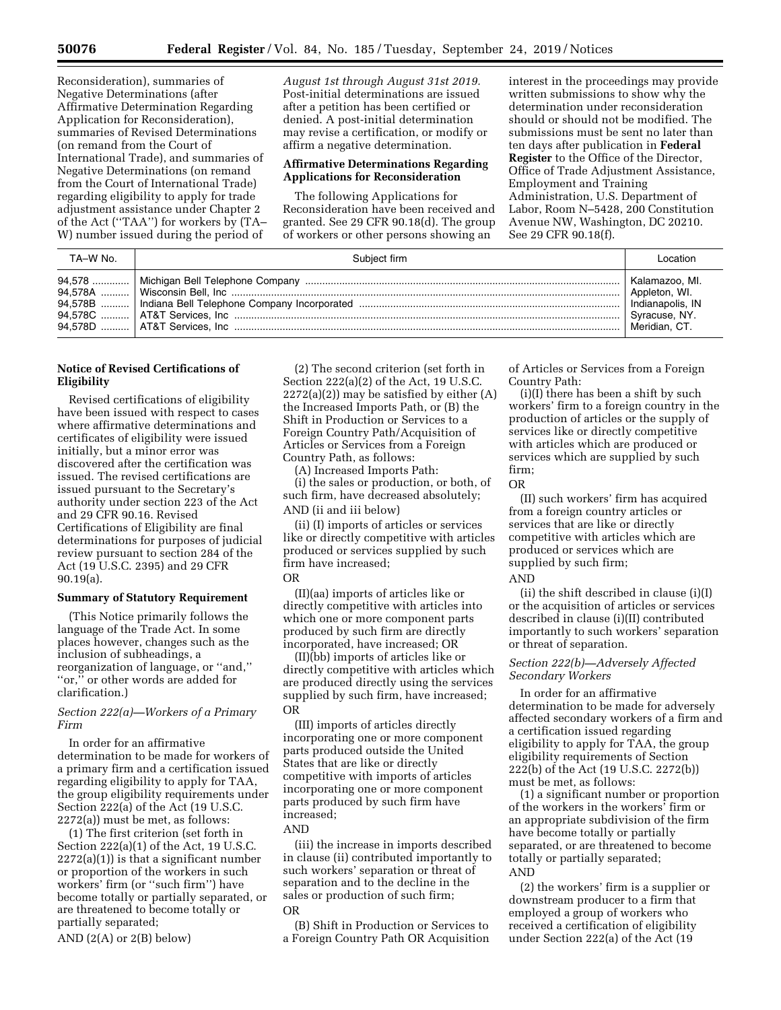Reconsideration), summaries of Negative Determinations (after Affirmative Determination Regarding Application for Reconsideration), summaries of Revised Determinations (on remand from the Court of International Trade), and summaries of Negative Determinations (on remand from the Court of International Trade) regarding eligibility to apply for trade adjustment assistance under Chapter 2 of the Act (''TAA'') for workers by (TA– W) number issued during the period of

*August 1st through August 31st 2019.*  Post-initial determinations are issued after a petition has been certified or denied. A post-initial determination may revise a certification, or modify or affirm a negative determination.

#### **Affirmative Determinations Regarding Applications for Reconsideration**

The following Applications for Reconsideration have been received and granted. See 29 CFR 90.18(d). The group of workers or other persons showing an

interest in the proceedings may provide written submissions to show why the determination under reconsideration should or should not be modified. The submissions must be sent no later than ten days after publication in **Federal Register** to the Office of the Director, Office of Trade Adjustment Assistance, Employment and Training Administration, U.S. Department of Labor, Room N–5428, 200 Constitution Avenue NW, Washington, DC 20210. See 29 CFR 90.18(f).

| TA–W No. | Subject firm | Location                                                                              |
|----------|--------------|---------------------------------------------------------------------------------------|
|          |              | Kalamazoo, MI.<br>Appleton, WI.<br>Indianapolis, IN<br>Syracuse, NY.<br>Meridian, CT. |

### **Notice of Revised Certifications of Eligibility**

Revised certifications of eligibility have been issued with respect to cases where affirmative determinations and certificates of eligibility were issued initially, but a minor error was discovered after the certification was issued. The revised certifications are issued pursuant to the Secretary's authority under section 223 of the Act and 29 CFR 90.16. Revised Certifications of Eligibility are final determinations for purposes of judicial review pursuant to section 284 of the Act (19 U.S.C. 2395) and 29 CFR 90.19(a).

#### **Summary of Statutory Requirement**

(This Notice primarily follows the language of the Trade Act. In some places however, changes such as the inclusion of subheadings, a reorganization of language, or ''and,'' ''or,'' or other words are added for clarification.)

#### *Section 222(a)—Workers of a Primary Firm*

In order for an affirmative determination to be made for workers of a primary firm and a certification issued regarding eligibility to apply for TAA, the group eligibility requirements under Section 222(a) of the Act (19 U.S.C. 2272(a)) must be met, as follows:

(1) The first criterion (set forth in Section 222(a)(1) of the Act, 19 U.S.C.  $2272(a)(1)$ ) is that a significant number or proportion of the workers in such workers' firm (or ''such firm'') have become totally or partially separated, or are threatened to become totally or partially separated;

AND  $(2(A)$  or  $2(B)$  below)

(2) The second criterion (set forth in Section 222(a)(2) of the Act, 19 U.S.C.  $2272(a)(2)$  may be satisfied by either  $(A)$ the Increased Imports Path, or (B) the Shift in Production or Services to a Foreign Country Path/Acquisition of Articles or Services from a Foreign Country Path, as follows:

(A) Increased Imports Path:

(i) the sales or production, or both, of such firm, have decreased absolutely; AND (ii and iii below)

(ii) (I) imports of articles or services like or directly competitive with articles produced or services supplied by such firm have increased;

OR

(II)(aa) imports of articles like or directly competitive with articles into which one or more component parts produced by such firm are directly incorporated, have increased; OR

(II)(bb) imports of articles like or directly competitive with articles which are produced directly using the services supplied by such firm, have increased; OR

(III) imports of articles directly incorporating one or more component parts produced outside the United States that are like or directly competitive with imports of articles incorporating one or more component parts produced by such firm have increased;

#### AND

(iii) the increase in imports described in clause (ii) contributed importantly to such workers' separation or threat of separation and to the decline in the sales or production of such firm; OR

(B) Shift in Production or Services to a Foreign Country Path OR Acquisition

of Articles or Services from a Foreign Country Path:

(i)(I) there has been a shift by such workers' firm to a foreign country in the production of articles or the supply of services like or directly competitive with articles which are produced or services which are supplied by such firm;

OR

(II) such workers' firm has acquired from a foreign country articles or services that are like or directly competitive with articles which are produced or services which are supplied by such firm;

AND

(ii) the shift described in clause (i)(I) or the acquisition of articles or services described in clause (i)(II) contributed importantly to such workers' separation or threat of separation.

## *Section 222(b)—Adversely Affected Secondary Workers*

In order for an affirmative determination to be made for adversely affected secondary workers of a firm and a certification issued regarding eligibility to apply for TAA, the group eligibility requirements of Section 222(b) of the Act (19 U.S.C. 2272(b)) must be met, as follows:

(1) a significant number or proportion of the workers in the workers' firm or an appropriate subdivision of the firm have become totally or partially separated, or are threatened to become totally or partially separated; AND

(2) the workers' firm is a supplier or downstream producer to a firm that employed a group of workers who received a certification of eligibility under Section 222(a) of the Act (19